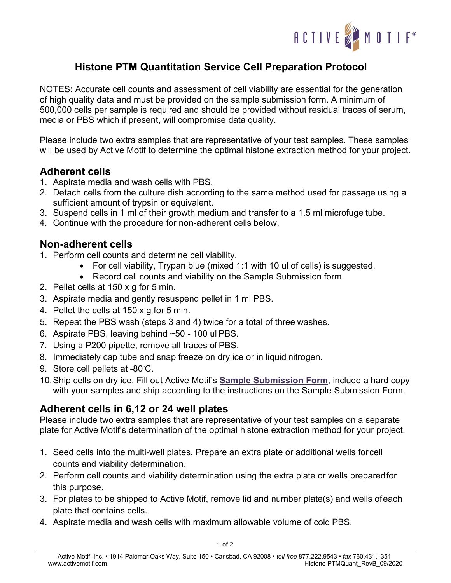

## **Histone PTM Quantitation Service Cell Preparation Protocol**

NOTES: Accurate cell counts and assessment of cell viability are essential for the generation of high quality data and must be provided on the sample submission form. A minimum of 500,000 cells per sample is required and should be provided without residual traces of serum, media or PBS which if present, will compromise data quality.

Please include two extra samples that are representative of your test samples. These samples will be used by Active Motif to determine the optimal histone extraction method for your project.

## **Adherent cells**

- 1. Aspirate media and wash cells with PBS.
- 2. Detach cells from the culture dish according to the same method used for passage using a sufficient amount of trypsin or equivalent.
- 3. Suspend cells in 1 ml of their growth medium and transfer to a 1.5 ml microfuge tube.
- 4. Continue with the procedure for non-adherent cells below.

## **Non-adherent cells**

- 1. Perform cell counts and determine cell viability.
	- For cell viability, Trypan blue (mixed 1:1 with 10 ul of cells) is suggested.
	- Record cell counts and viability on the Sample Submission form.
- 2. Pellet cells at 150 x g for 5 min.
- 3. Aspirate media and gently resuspend pellet in 1 ml PBS.
- 4. Pellet the cells at 150 x g for 5 min.
- 5. Repeat the PBS wash (steps 3 and 4) twice for a total of three washes.
- 6. Aspirate PBS, leaving behind ~50 100 ul PBS.
- 7. Using a P200 pipette, remove all traces of PBS.
- 8. Immediately cap tube and snap freeze on dry ice or in liquid nitrogen.
- 9. Store cell pellets at -80℃.
- 10.Ship cells on dry ice. Fill out Active Motif's **Sample [Submission Form](https://www.activemotif.com/catalog/1143/histone-ptm-quantitation-services)**, include a hard copy with your samples and ship according to the instructions on the Sample Submission Form.

## **Adherent cells in 6,12 or 24 well plates**

Please include two extra samples that are representative of your test samples on a separate plate for Active Motif's determination of the optimal histone extraction method for your project.

- 1. Seed cells into the multi-well plates. Prepare an extra plate or additional wells forcell counts and viability determination.
- 2. Perform cell counts and viability determination using the extra plate or wells preparedfor this purpose.
- 3. For plates to be shipped to Active Motif, remove lid and number plate(s) and wells ofeach plate that contains cells.
- 4. Aspirate media and wash cells with maximum allowable volume of cold PBS.